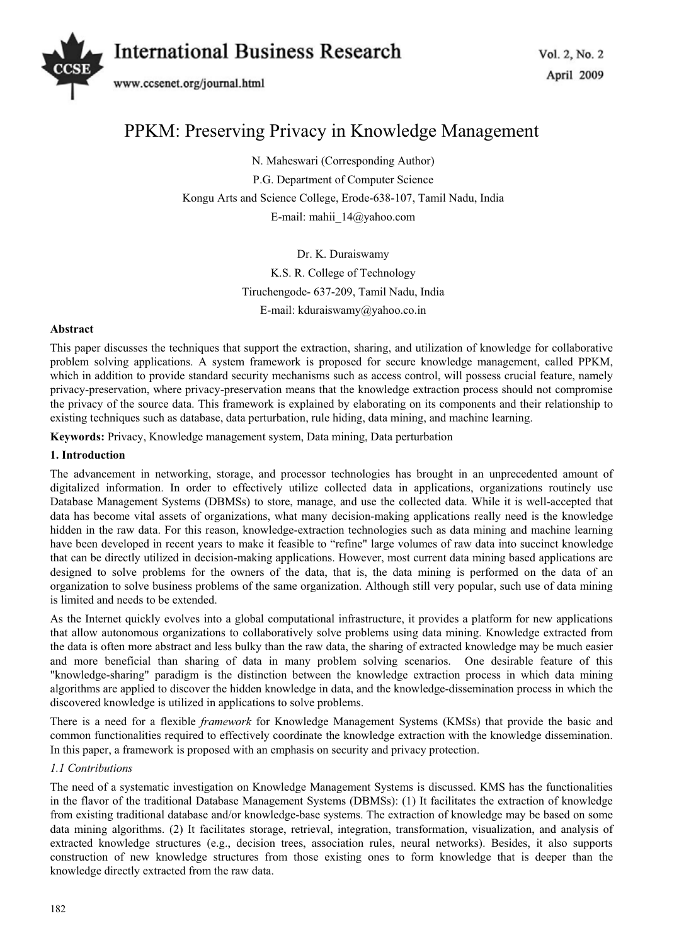# Vol. 2, No. 2 *International Business Research*



# PPKM: Preserving Privacy in Knowledge Management

N. Maheswari (Corresponding Author) P.G. Department of Computer Science Kongu Arts and Science College, Erode-638-107, Tamil Nadu, India E-mail: mahii\_14@yahoo.com

Dr. K. Duraiswamy

K.S. R. College of Technology

Tiruchengode- 637-209, Tamil Nadu, India

E-mail: kduraiswamy@yahoo.co.in

#### **Abstract**

This paper discusses the techniques that support the extraction, sharing, and utilization of knowledge for collaborative problem solving applications. A system framework is proposed for secure knowledge management, called PPKM, which in addition to provide standard security mechanisms such as access control, will possess crucial feature, namely privacy-preservation, where privacy-preservation means that the knowledge extraction process should not compromise the privacy of the source data. This framework is explained by elaborating on its components and their relationship to existing techniques such as database, data perturbation, rule hiding, data mining, and machine learning.

**Keywords:** Privacy, Knowledge management system, Data mining, Data perturbation

### **1. Introduction**

The advancement in networking, storage, and processor technologies has brought in an unprecedented amount of digitalized information. In order to effectively utilize collected data in applications, organizations routinely use Database Management Systems (DBMSs) to store, manage, and use the collected data. While it is well-accepted that data has become vital assets of organizations, what many decision-making applications really need is the knowledge hidden in the raw data. For this reason, knowledge-extraction technologies such as data mining and machine learning have been developed in recent years to make it feasible to "refine" large volumes of raw data into succinct knowledge that can be directly utilized in decision-making applications. However, most current data mining based applications are designed to solve problems for the owners of the data, that is, the data mining is performed on the data of an organization to solve business problems of the same organization. Although still very popular, such use of data mining is limited and needs to be extended.

As the Internet quickly evolves into a global computational infrastructure, it provides a platform for new applications that allow autonomous organizations to collaboratively solve problems using data mining. Knowledge extracted from the data is often more abstract and less bulky than the raw data, the sharing of extracted knowledge may be much easier and more beneficial than sharing of data in many problem solving scenarios. One desirable feature of this "knowledge-sharing" paradigm is the distinction between the knowledge extraction process in which data mining algorithms are applied to discover the hidden knowledge in data, and the knowledge-dissemination process in which the discovered knowledge is utilized in applications to solve problems.

There is a need for a flexible *framework* for Knowledge Management Systems (KMSs) that provide the basic and common functionalities required to effectively coordinate the knowledge extraction with the knowledge dissemination. In this paper, a framework is proposed with an emphasis on security and privacy protection.

## *1.1 Contributions*

The need of a systematic investigation on Knowledge Management Systems is discussed. KMS has the functionalities in the flavor of the traditional Database Management Systems (DBMSs): (1) It facilitates the extraction of knowledge from existing traditional database and/or knowledge-base systems. The extraction of knowledge may be based on some data mining algorithms. (2) It facilitates storage, retrieval, integration, transformation, visualization, and analysis of extracted knowledge structures (e.g., decision trees, association rules, neural networks). Besides, it also supports construction of new knowledge structures from those existing ones to form knowledge that is deeper than the knowledge directly extracted from the raw data.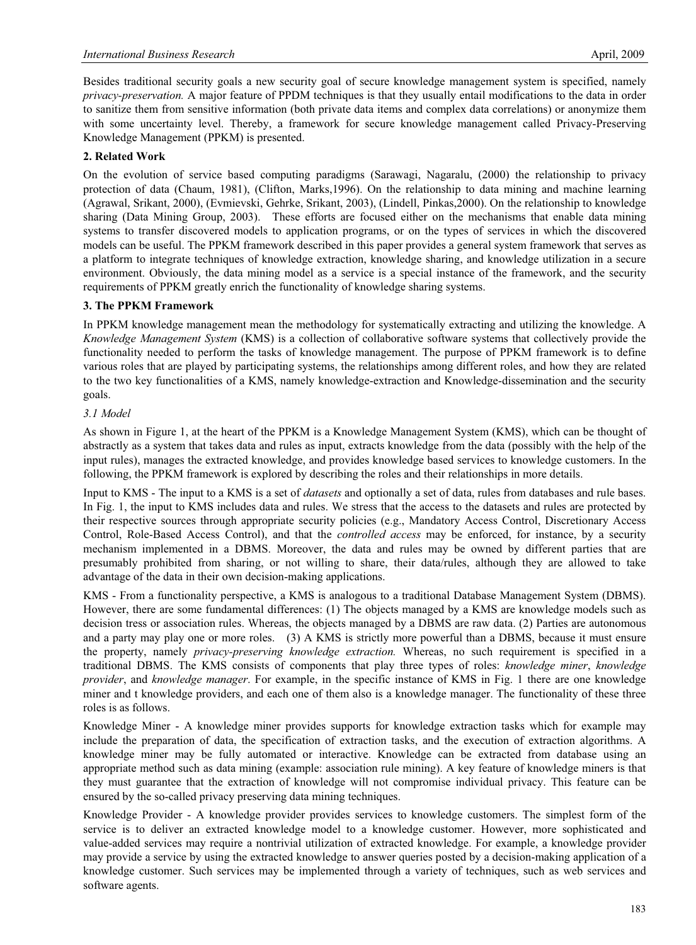Besides traditional security goals a new security goal of secure knowledge management system is specified, namely *privacy-preservation.* A major feature of PPDM techniques is that they usually entail modifications to the data in order to sanitize them from sensitive information (both private data items and complex data correlations) or anonymize them with some uncertainty level. Thereby, a framework for secure knowledge management called Privacy-Preserving Knowledge Management (PPKM) is presented.

#### **2. Related Work**

On the evolution of service based computing paradigms (Sarawagi, Nagaralu, (2000) the relationship to privacy protection of data (Chaum, 1981), (Clifton, Marks,1996). On the relationship to data mining and machine learning (Agrawal, Srikant, 2000), (Evmievski, Gehrke, Srikant, 2003), (Lindell, Pinkas,2000). On the relationship to knowledge sharing (Data Mining Group, 2003). These efforts are focused either on the mechanisms that enable data mining systems to transfer discovered models to application programs, or on the types of services in which the discovered models can be useful. The PPKM framework described in this paper provides a general system framework that serves as a platform to integrate techniques of knowledge extraction, knowledge sharing, and knowledge utilization in a secure environment. Obviously, the data mining model as a service is a special instance of the framework, and the security requirements of PPKM greatly enrich the functionality of knowledge sharing systems.

#### **3. The PPKM Framework**

In PPKM knowledge management mean the methodology for systematically extracting and utilizing the knowledge. A *Knowledge Management System* (KMS) is a collection of collaborative software systems that collectively provide the functionality needed to perform the tasks of knowledge management. The purpose of PPKM framework is to define various roles that are played by participating systems, the relationships among different roles, and how they are related to the two key functionalities of a KMS, namely knowledge-extraction and Knowledge-dissemination and the security goals.

#### *3.1 Model*

As shown in Figure 1, at the heart of the PPKM is a Knowledge Management System (KMS), which can be thought of abstractly as a system that takes data and rules as input, extracts knowledge from the data (possibly with the help of the input rules), manages the extracted knowledge, and provides knowledge based services to knowledge customers. In the following, the PPKM framework is explored by describing the roles and their relationships in more details.

Input to KMS - The input to a KMS is a set of *datasets* and optionally a set of data, rules from databases and rule bases. In Fig. 1, the input to KMS includes data and rules. We stress that the access to the datasets and rules are protected by their respective sources through appropriate security policies (e.g., Mandatory Access Control, Discretionary Access Control, Role-Based Access Control), and that the *controlled access* may be enforced, for instance, by a security mechanism implemented in a DBMS. Moreover, the data and rules may be owned by different parties that are presumably prohibited from sharing, or not willing to share, their data/rules, although they are allowed to take advantage of the data in their own decision-making applications.

KMS - From a functionality perspective, a KMS is analogous to a traditional Database Management System (DBMS). However, there are some fundamental differences: (1) The objects managed by a KMS are knowledge models such as decision tress or association rules. Whereas, the objects managed by a DBMS are raw data. (2) Parties are autonomous and a party may play one or more roles. (3) A KMS is strictly more powerful than a DBMS, because it must ensure the property, namely *privacy-preserving knowledge extraction.* Whereas, no such requirement is specified in a traditional DBMS. The KMS consists of components that play three types of roles: *knowledge miner*, *knowledge provider*, and *knowledge manager*. For example, in the specific instance of KMS in Fig. 1 there are one knowledge miner and t knowledge providers, and each one of them also is a knowledge manager. The functionality of these three roles is as follows.

Knowledge Miner - A knowledge miner provides supports for knowledge extraction tasks which for example may include the preparation of data, the specification of extraction tasks, and the execution of extraction algorithms. A knowledge miner may be fully automated or interactive. Knowledge can be extracted from database using an appropriate method such as data mining (example: association rule mining). A key feature of knowledge miners is that they must guarantee that the extraction of knowledge will not compromise individual privacy. This feature can be ensured by the so-called privacy preserving data mining techniques.

Knowledge Provider - A knowledge provider provides services to knowledge customers. The simplest form of the service is to deliver an extracted knowledge model to a knowledge customer. However, more sophisticated and value-added services may require a nontrivial utilization of extracted knowledge. For example, a knowledge provider may provide a service by using the extracted knowledge to answer queries posted by a decision-making application of a knowledge customer. Such services may be implemented through a variety of techniques, such as web services and software agents.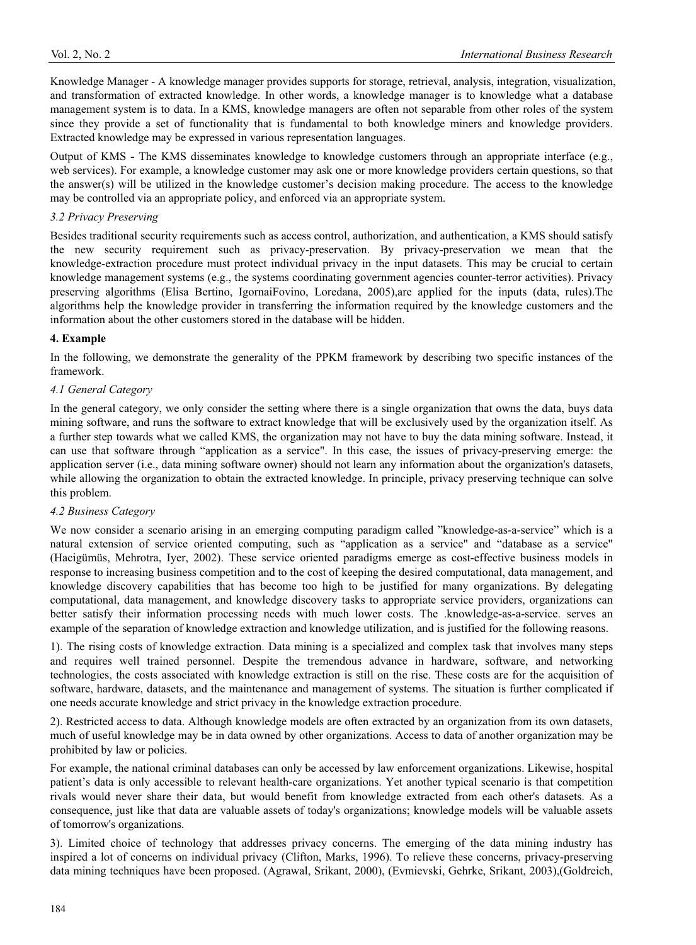Knowledge Manager - A knowledge manager provides supports for storage, retrieval, analysis, integration, visualization, and transformation of extracted knowledge. In other words, a knowledge manager is to knowledge what a database management system is to data. In a KMS, knowledge managers are often not separable from other roles of the system since they provide a set of functionality that is fundamental to both knowledge miners and knowledge providers. Extracted knowledge may be expressed in various representation languages.

Output of KMS **-** The KMS disseminates knowledge to knowledge customers through an appropriate interface (e.g., web services). For example, a knowledge customer may ask one or more knowledge providers certain questions, so that the answer(s) will be utilized in the knowledge customer's decision making procedure. The access to the knowledge may be controlled via an appropriate policy, and enforced via an appropriate system.

#### *3.2 Privacy Preserving*

Besides traditional security requirements such as access control, authorization, and authentication, a KMS should satisfy the new security requirement such as privacy-preservation. By privacy-preservation we mean that the knowledge-extraction procedure must protect individual privacy in the input datasets. This may be crucial to certain knowledge management systems (e.g., the systems coordinating government agencies counter-terror activities). Privacy preserving algorithms (Elisa Bertino, IgornaiFovino, Loredana, 2005),are applied for the inputs (data, rules).The algorithms help the knowledge provider in transferring the information required by the knowledge customers and the information about the other customers stored in the database will be hidden.

#### **4. Example**

In the following, we demonstrate the generality of the PPKM framework by describing two specific instances of the framework.

#### *4.1 General Category*

In the general category, we only consider the setting where there is a single organization that owns the data, buys data mining software, and runs the software to extract knowledge that will be exclusively used by the organization itself. As a further step towards what we called KMS, the organization may not have to buy the data mining software. Instead, it can use that software through "application as a service". In this case, the issues of privacy-preserving emerge: the application server (i.e., data mining software owner) should not learn any information about the organization's datasets, while allowing the organization to obtain the extracted knowledge. In principle, privacy preserving technique can solve this problem.

#### *4.2 Business Category*

We now consider a scenario arising in an emerging computing paradigm called "knowledge-as-a-service" which is a natural extension of service oriented computing, such as "application as a service" and "database as a service" (Hacigümüs, Mehrotra, Iyer, 2002). These service oriented paradigms emerge as cost-effective business models in response to increasing business competition and to the cost of keeping the desired computational, data management, and knowledge discovery capabilities that has become too high to be justified for many organizations. By delegating computational, data management, and knowledge discovery tasks to appropriate service providers, organizations can better satisfy their information processing needs with much lower costs. The .knowledge-as-a-service. serves an example of the separation of knowledge extraction and knowledge utilization, and is justified for the following reasons.

1). The rising costs of knowledge extraction. Data mining is a specialized and complex task that involves many steps and requires well trained personnel. Despite the tremendous advance in hardware, software, and networking technologies, the costs associated with knowledge extraction is still on the rise. These costs are for the acquisition of software, hardware, datasets, and the maintenance and management of systems. The situation is further complicated if one needs accurate knowledge and strict privacy in the knowledge extraction procedure.

2). Restricted access to data. Although knowledge models are often extracted by an organization from its own datasets, much of useful knowledge may be in data owned by other organizations. Access to data of another organization may be prohibited by law or policies.

For example, the national criminal databases can only be accessed by law enforcement organizations. Likewise, hospital patient's data is only accessible to relevant health-care organizations. Yet another typical scenario is that competition rivals would never share their data, but would benefit from knowledge extracted from each other's datasets. As a consequence, just like that data are valuable assets of today's organizations; knowledge models will be valuable assets of tomorrow's organizations.

3). Limited choice of technology that addresses privacy concerns. The emerging of the data mining industry has inspired a lot of concerns on individual privacy (Clifton, Marks, 1996). To relieve these concerns, privacy-preserving data mining techniques have been proposed. (Agrawal, Srikant, 2000), (Evmievski, Gehrke, Srikant, 2003),(Goldreich,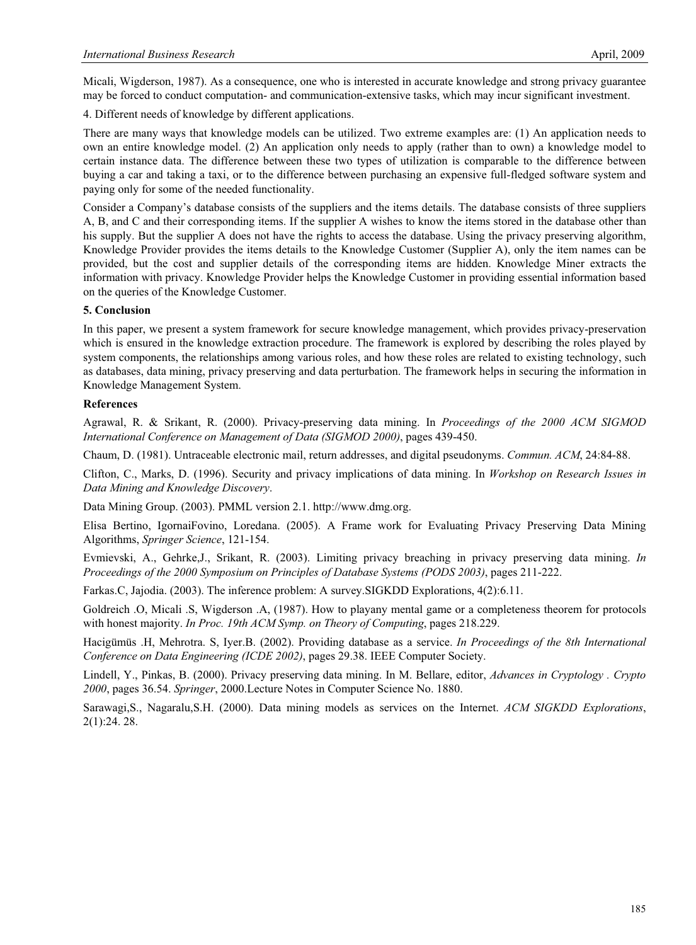Micali, Wigderson, 1987). As a consequence, one who is interested in accurate knowledge and strong privacy guarantee may be forced to conduct computation- and communication-extensive tasks, which may incur significant investment.

4. Different needs of knowledge by different applications.

There are many ways that knowledge models can be utilized. Two extreme examples are: (1) An application needs to own an entire knowledge model. (2) An application only needs to apply (rather than to own) a knowledge model to certain instance data. The difference between these two types of utilization is comparable to the difference between buying a car and taking a taxi, or to the difference between purchasing an expensive full-fledged software system and paying only for some of the needed functionality.

Consider a Company's database consists of the suppliers and the items details. The database consists of three suppliers A, B, and C and their corresponding items. If the supplier A wishes to know the items stored in the database other than his supply. But the supplier A does not have the rights to access the database. Using the privacy preserving algorithm, Knowledge Provider provides the items details to the Knowledge Customer (Supplier A), only the item names can be provided, but the cost and supplier details of the corresponding items are hidden. Knowledge Miner extracts the information with privacy. Knowledge Provider helps the Knowledge Customer in providing essential information based on the queries of the Knowledge Customer.

#### **5. Conclusion**

In this paper, we present a system framework for secure knowledge management, which provides privacy-preservation which is ensured in the knowledge extraction procedure. The framework is explored by describing the roles played by system components, the relationships among various roles, and how these roles are related to existing technology, such as databases, data mining, privacy preserving and data perturbation. The framework helps in securing the information in Knowledge Management System.

#### **References**

Agrawal, R. & Srikant, R. (2000). Privacy-preserving data mining. In *Proceedings of the 2000 ACM SIGMOD International Conference on Management of Data (SIGMOD 2000)*, pages 439-450.

Chaum, D. (1981). Untraceable electronic mail, return addresses, and digital pseudonyms. *Commun. ACM*, 24:84-88.

Clifton, C., Marks, D. (1996). Security and privacy implications of data mining. In *Workshop on Research Issues in Data Mining and Knowledge Discovery*.

Data Mining Group. (2003). PMML version 2.1. http://www.dmg.org.

Elisa Bertino, IgornaiFovino, Loredana. (2005). A Frame work for Evaluating Privacy Preserving Data Mining Algorithms, *Springer Science*, 121-154.

Evmievski, A., Gehrke,J., Srikant, R. (2003). Limiting privacy breaching in privacy preserving data mining. *In Proceedings of the 2000 Symposium on Principles of Database Systems (PODS 2003)*, pages 211-222.

Farkas.C, Jajodia. (2003). The inference problem: A survey.SIGKDD Explorations, 4(2):6.11.

Goldreich .O, Micali .S, Wigderson .A, (1987). How to playany mental game or a completeness theorem for protocols with honest majority. *In Proc. 19th ACM Symp. on Theory of Computing*, pages 218.229.

Hacigümüs .H, Mehrotra. S, Iyer.B. (2002). Providing database as a service. *In Proceedings of the 8th International Conference on Data Engineering (ICDE 2002)*, pages 29.38. IEEE Computer Society.

Lindell, Y., Pinkas, B. (2000). Privacy preserving data mining. In M. Bellare, editor, *Advances in Cryptology . Crypto 2000*, pages 36.54. *Springer*, 2000.Lecture Notes in Computer Science No. 1880.

Sarawagi,S., Nagaralu,S.H. (2000). Data mining models as services on the Internet. *ACM SIGKDD Explorations*, 2(1):24. 28.